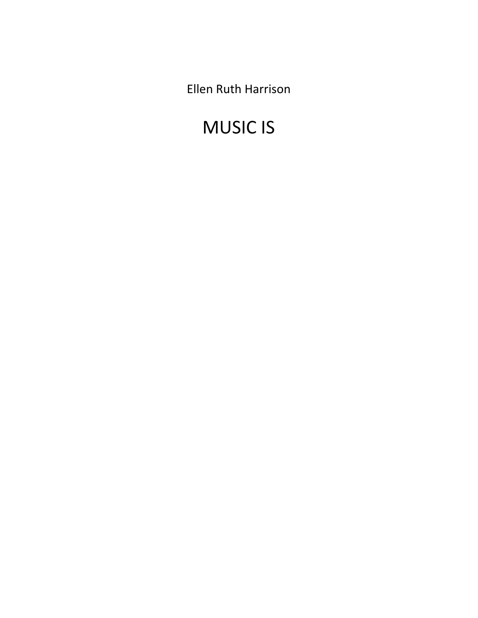Ellen Ruth Harrison

# **MUSIC IS**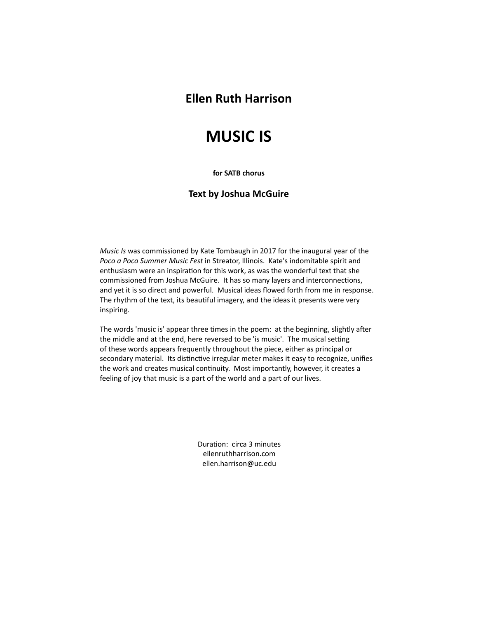### **Ellen Ruth Harrison**

## **MUSIC IS**

#### **for SATB chorus**

#### **Text by Joshua McGuire**

*Music Is* was commissioned by Kate Tombaugh in 2017 for the inaugural year of the Poco a Poco Summer Music Fest in Streator, Illinois. Kate's indomitable spirit and enthusiasm were an inspiration for this work, as was the wonderful text that she commissioned from Joshua McGuire. It has so many layers and interconnections, and yet it is so direct and powerful. Musical ideas flowed forth from me in response. The rhythm of the text, its beautiful imagery, and the ideas it presents were very inspiring.

The words 'music is' appear three times in the poem: at the beginning, slightly after the middle and at the end, here reversed to be 'is music'. The musical setting of these words appears frequently throughout the piece, either as principal or secondary material. Its distinctive irregular meter makes it easy to recognize, unifies the work and creates musical continuity. Most importantly, however, it creates a feeling of joy that music is a part of the world and a part of our lives.

> Duration: circa 3 minutes ellenruthharrison.com ellen.harrison@uc.edu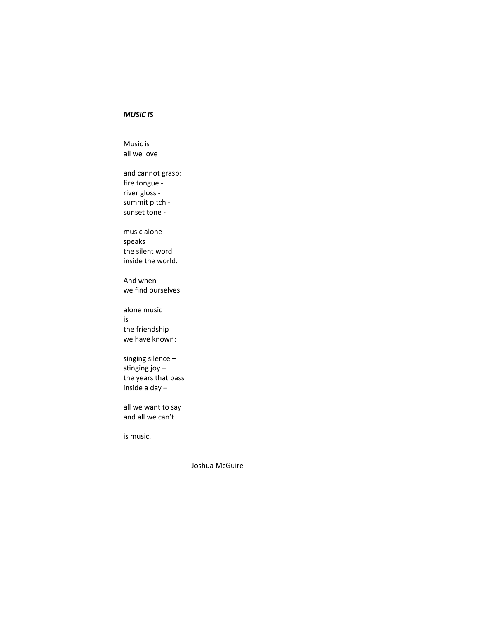#### **MUSIC** IS

Music is all we love

and cannot grasp: fire tongue river gloss summit pitch sunset tone -

music alone speaks the silent word inside the world.

And when we find ourselves

alone music is the friendship we have known:

singing silence  $$ stinging joy the years that pass inside a day $-$ 

all we want to say and all we can't

is music.

-- Joshua McGuire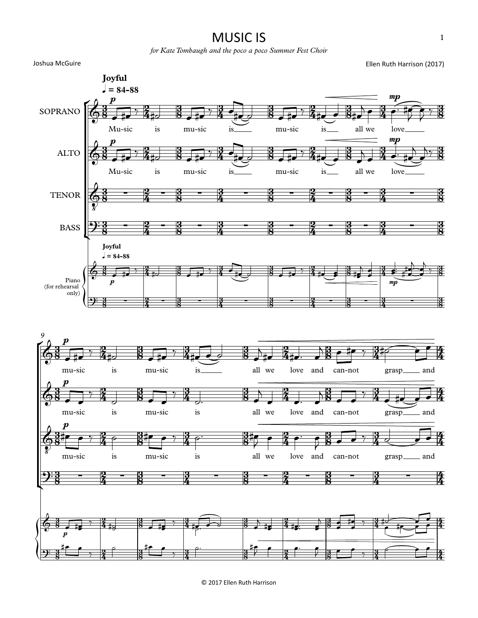*for Kate Tombaugh and the poco a poco Summer Fest Choir*



© 2017 Ellen Ruth Harrison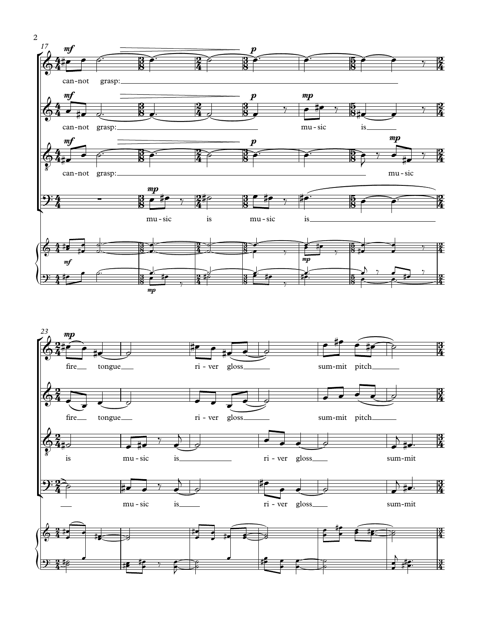

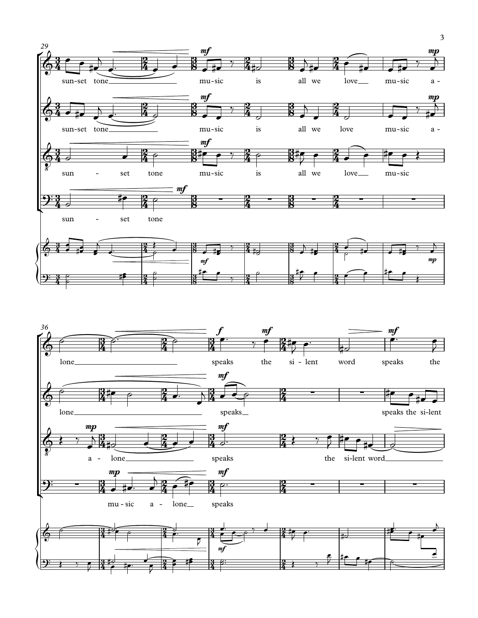

4

 $\frac{2}{4}$ 

 $\nabla$ 

4

 $\frac{2}{4}$ 

<sup>3</sup>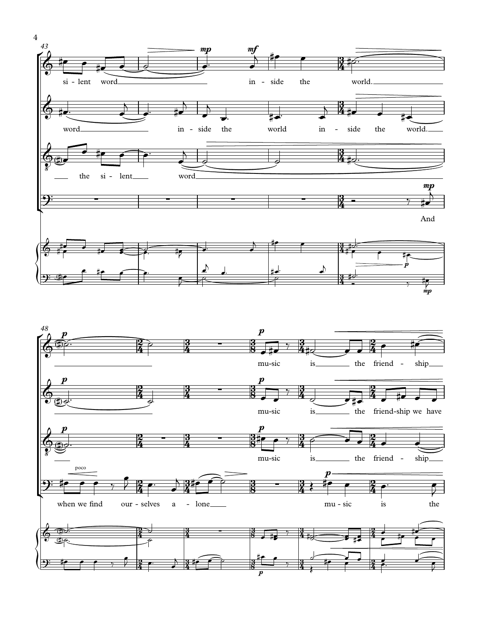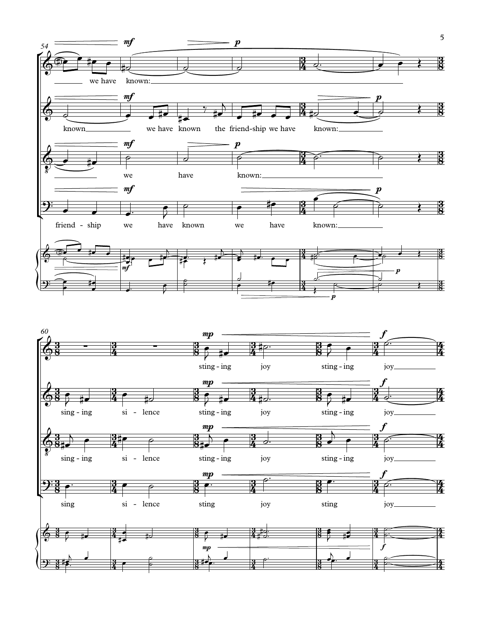

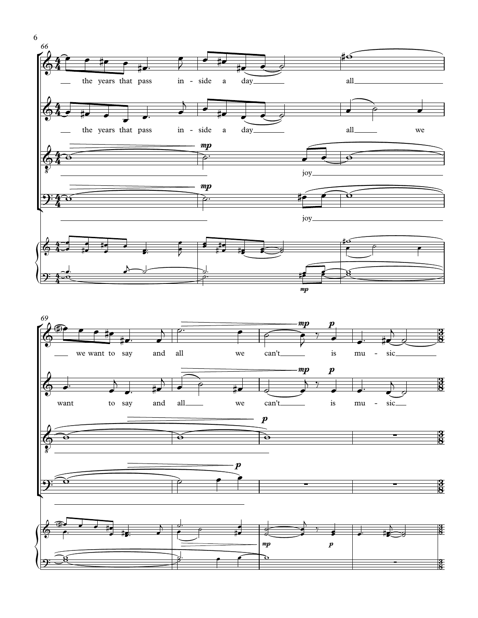

6